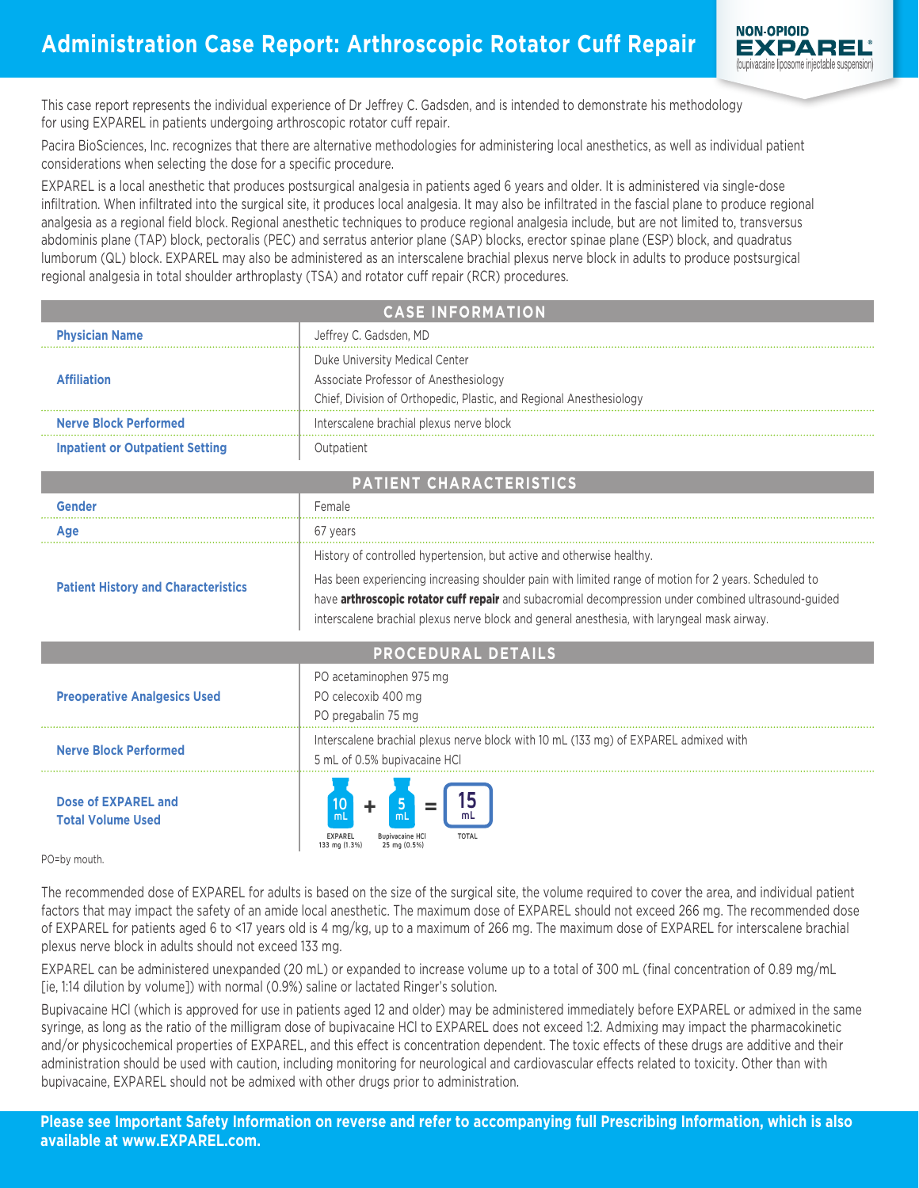

This case report represents the individual experience of Dr Jeffrey C. Gadsden, and is intended to demonstrate his methodology for using EXPAREL in patients undergoing arthroscopic rotator cuff repair.

Pacira BioSciences, Inc. recognizes that there are alternative methodologies for administering local anesthetics, as well as individual patient considerations when selecting the dose for a specific procedure.

EXPAREL is a local anesthetic that produces postsurgical analgesia in patients aged 6 years and older. It is administered via single-dose infiltration. When infiltrated into the surgical site, it produces local analgesia. It may also be infiltrated in the fascial plane to produce regional analgesia as a regional field block. Regional anesthetic techniques to produce regional analgesia include, but are not limited to, transversus abdominis plane (TAP) block, pectoralis (PEC) and serratus anterior plane (SAP) blocks, erector spinae plane (ESP) block, and quadratus lumborum (QL) block. EXPAREL may also be administered as an interscalene brachial plexus nerve block in adults to produce postsurgical regional analgesia in total shoulder arthroplasty (TSA) and rotator cuff repair (RCR) procedures.

| <b>CASE INFORMATION</b>                    |                                                                                                                                                                                                                                                                                                                      |
|--------------------------------------------|----------------------------------------------------------------------------------------------------------------------------------------------------------------------------------------------------------------------------------------------------------------------------------------------------------------------|
| <b>Physician Name</b>                      | Jeffrey C. Gadsden, MD                                                                                                                                                                                                                                                                                               |
| <b>Affiliation</b>                         | Duke University Medical Center<br>Associate Professor of Anesthesiology<br>Chief, Division of Orthopedic, Plastic, and Regional Anesthesiology                                                                                                                                                                       |
| <b>Nerve Block Performed</b>               | Interscalene brachial plexus nerve block                                                                                                                                                                                                                                                                             |
| <b>Inpatient or Outpatient Setting</b>     | Outpatient                                                                                                                                                                                                                                                                                                           |
| <b>PATIENT CHARACTERISTICS</b>             |                                                                                                                                                                                                                                                                                                                      |
| Gender                                     | Female                                                                                                                                                                                                                                                                                                               |
| Age                                        | 67 years                                                                                                                                                                                                                                                                                                             |
|                                            | History of controlled hypertension, but active and otherwise healthy.                                                                                                                                                                                                                                                |
| <b>Patient History and Characteristics</b> | Has been experiencing increasing shoulder pain with limited range of motion for 2 years. Scheduled to<br>have <b>arthroscopic rotator cuff repair</b> and subacromial decompression under combined ultrasound-guided<br>interscalene brachial plexus nerve block and general anesthesia, with laryngeal mask airway. |

| <b>PROCEDURAL DETAILS</b>                       |                                                                                                                      |
|-------------------------------------------------|----------------------------------------------------------------------------------------------------------------------|
| <b>Preoperative Analgesics Used</b>             | PO acetaminophen 975 mg<br>PO celecoxib 400 mg<br>PO pregabalin 75 mg                                                |
| <b>Nerve Block Performed</b>                    | Interscalene brachial plexus nerve block with 10 mL (133 mg) of EXPAREL admixed with<br>5 mL of 0.5% bupivacaine HCl |
| Dose of EXPAREL and<br><b>Total Volume Used</b> | mL<br>mL<br><b>Bupivacaine HCI</b><br><b>TOTAL</b><br><b>EXPAREL</b><br>133 mg (1.3%)<br>25 mg (0.5%)                |

PO=by mouth.

The recommended dose of EXPAREL for adults is based on the size of the surgical site, the volume required to cover the area, and individual patient factors that may impact the safety of an amide local anesthetic. The maximum dose of EXPAREL should not exceed 266 mg. The recommended dose of EXPAREL for patients aged 6 to <17 years old is 4 mg/kg, up to a maximum of 266 mg. The maximum dose of EXPAREL for interscalene brachial plexus nerve block in adults should not exceed 133 mg.

EXPAREL can be administered unexpanded (20 mL) or expanded to increase volume up to a total of 300 mL (final concentration of 0.89 mg/mL [ie, 1:14 dilution by volume]) with normal (0.9%) saline or lactated Ringer's solution.

Bupivacaine HCl (which is approved for use in patients aged 12 and older) may be administered immediately before EXPAREL or admixed in the same syringe, as long as the ratio of the milligram dose of bupivacaine HCl to EXPAREL does not exceed 1:2. Admixing may impact the pharmacokinetic and/or physicochemical properties of EXPAREL, and this effect is concentration dependent. The toxic effects of these drugs are additive and their administration should be used with caution, including monitoring for neurological and cardiovascular effects related to toxicity. Other than with bupivacaine, EXPAREL should not be admixed with other drugs prior to administration.